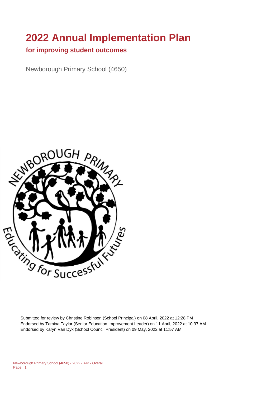# **2022 Annual Implementation Plan**

#### **for improving student outcomes**

Newborough Primary School (4650)



Submitted for review by Christine Robinson (School Principal) on 08 April, 2022 at 12:28 PM Endorsed by Tamina Taylor (Senior Education Improvement Leader) on 11 April, 2022 at 10:37 AM Endorsed by Karyn Van Dyk (School Council President) on 09 May, 2022 at 11:57 AM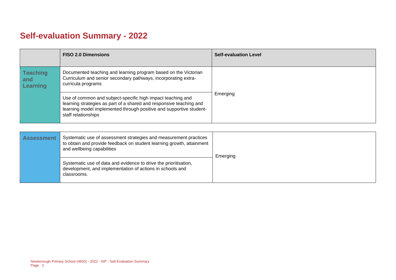# **Self-evaluation Summary - 2022**

|                                           | <b>FISO 2.0 Dimensions</b>                                                                                                                                                                                                       | <b>Self-evaluation Level</b> |
|-------------------------------------------|----------------------------------------------------------------------------------------------------------------------------------------------------------------------------------------------------------------------------------|------------------------------|
| <b>Teaching</b><br>and<br><b>Learning</b> | Documented teaching and learning program based on the Victorian<br>Curriculum and senior secondary pathways, incorporating extra-<br>curricula programs                                                                          |                              |
|                                           | Use of common and subject-specific high impact teaching and<br>learning strategies as part of a shared and responsive teaching and<br>learning model implemented through positive and supportive student-<br>staff relationships | Emerging                     |

| <b>Assessment</b> | Systematic use of assessment strategies and measurement practices<br>to obtain and provide feedback on student learning growth, attainment<br>and wellbeing capabilities | Emerging |
|-------------------|--------------------------------------------------------------------------------------------------------------------------------------------------------------------------|----------|
|                   | Systematic use of data and evidence to drive the prioritisation,<br>development, and implementation of actions in schools and<br>classrooms.                             |          |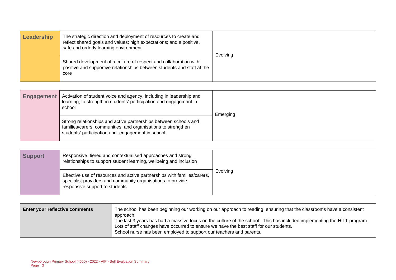| Leadership | The strategic direction and deployment of resources to create and<br>reflect shared goals and values; high expectations; and a positive,<br>safe and orderly learning environment | Evolving |
|------------|-----------------------------------------------------------------------------------------------------------------------------------------------------------------------------------|----------|
|            | Shared development of a culture of respect and collaboration with<br>positive and supportive relationships between students and staff at the<br>core                              |          |

| Activation of student voice and agency, including in leadership and<br><b>Engagement</b><br>learning, to strengthen students' participation and engagement in<br>school |                                                                                                                                                                                       | Emerging |
|-------------------------------------------------------------------------------------------------------------------------------------------------------------------------|---------------------------------------------------------------------------------------------------------------------------------------------------------------------------------------|----------|
|                                                                                                                                                                         | Strong relationships and active partnerships between schools and<br>families/carers, communities, and organisations to strengthen<br>students' participation and engagement in school |          |

| <b>Support</b> | Responsive, tiered and contextualised approaches and strong<br>relationships to support student learning, wellbeing and inclusion                                         |          |
|----------------|---------------------------------------------------------------------------------------------------------------------------------------------------------------------------|----------|
|                | Effective use of resources and active partnerships with families/carers,<br>specialist providers and community organisations to provide<br>responsive support to students | Evolving |

| Enter your reflective comments | The school has been beginning our working on our approach to reading, ensuring that the classrooms have a consistent<br>approach.                                                                                                                                                        |
|--------------------------------|------------------------------------------------------------------------------------------------------------------------------------------------------------------------------------------------------------------------------------------------------------------------------------------|
|                                | The last 3 years has had a massive focus on the culture of the school. This has included implementing the HILT program.<br>Lots of staff changes have occurred to ensure we have the best staff for our students.<br>School nurse has been employed to support our teachers and parents. |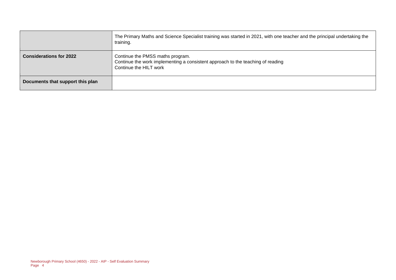|                                  | The Primary Maths and Science Specialist training was started in 2021, with one teacher and the principal undertaking the<br>training.        |  |
|----------------------------------|-----------------------------------------------------------------------------------------------------------------------------------------------|--|
| <b>Considerations for 2022</b>   | Continue the PMSS maths program.<br>Continue the work implementing a consistent approach to the teaching of reading<br>Continue the HILT work |  |
| Documents that support this plan |                                                                                                                                               |  |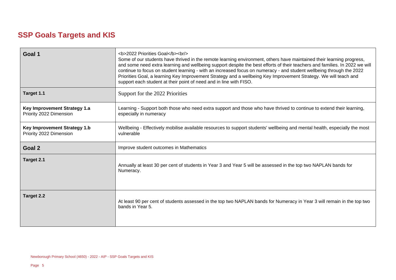## **SSP Goals Targets and KIS**

| Goal 1                                                         | <b>2022 Priorities Goal</b><br><br><br>Some of our students have thrived in the remote learning environment, others have maintained their learning progress,<br>and some need extra learning and wellbeing support despite the best efforts of their teachers and families. In 2022 we will<br>continue to focus on student learning - with an increased focus on numeracy - and student wellbeing through the 2022<br>Priorities Goal, a learning Key Improvement Strategy and a wellbeing Key Improvement Strategy. We will teach and<br>support each student at their point of need and in line with FISO. |  |
|----------------------------------------------------------------|---------------------------------------------------------------------------------------------------------------------------------------------------------------------------------------------------------------------------------------------------------------------------------------------------------------------------------------------------------------------------------------------------------------------------------------------------------------------------------------------------------------------------------------------------------------------------------------------------------------|--|
| Target 1.1                                                     | Support for the 2022 Priorities                                                                                                                                                                                                                                                                                                                                                                                                                                                                                                                                                                               |  |
| <b>Key Improvement Strategy 1.a</b><br>Priority 2022 Dimension | Learning - Support both those who need extra support and those who have thrived to continue to extend their learning,<br>especially in numeracy                                                                                                                                                                                                                                                                                                                                                                                                                                                               |  |
| <b>Key Improvement Strategy 1.b</b><br>Priority 2022 Dimension | Wellbeing - Effectively mobilise available resources to support students' wellbeing and mental health, especially the most<br>vulnerable                                                                                                                                                                                                                                                                                                                                                                                                                                                                      |  |
| Goal 2                                                         | Improve student outcomes in Mathematics                                                                                                                                                                                                                                                                                                                                                                                                                                                                                                                                                                       |  |
| Target 2.1                                                     | Annually at least 30 per cent of students in Year 3 and Year 5 will be assessed in the top two NAPLAN bands for<br>Numeracy.                                                                                                                                                                                                                                                                                                                                                                                                                                                                                  |  |
| Target 2.2                                                     | At least 90 per cent of students assessed in the top two NAPLAN bands for Numeracy in Year 3 will remain in the top two<br>bands in Year 5.                                                                                                                                                                                                                                                                                                                                                                                                                                                                   |  |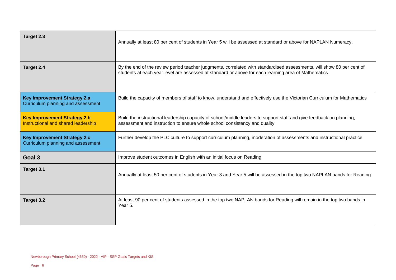| Target 2.3                                                                 | Annually at least 80 per cent of students in Year 5 will be assessed at standard or above for NAPLAN Numeracy.                                                                                                                |  |
|----------------------------------------------------------------------------|-------------------------------------------------------------------------------------------------------------------------------------------------------------------------------------------------------------------------------|--|
| Target 2.4                                                                 | By the end of the review period teacher judgments, correlated with standardised assessments, will show 80 per cent of<br>students at each year level are assessed at standard or above for each learning area of Mathematics. |  |
| <b>Key Improvement Strategy 2.a</b><br>Curriculum planning and assessment  | Build the capacity of members of staff to know, understand and effectively use the Victorian Curriculum for Mathematics                                                                                                       |  |
| <b>Key Improvement Strategy 2.b</b><br>Instructional and shared leadership | Build the instructional leadership capacity of school/middle leaders to support staff and give feedback on planning,<br>assessment and instruction to ensure whole school consistency and quality                             |  |
| <b>Key Improvement Strategy 2.c</b><br>Curriculum planning and assessment  | Further develop the PLC culture to support curriculum planning, moderation of assessments and instructional practice                                                                                                          |  |
| Goal 3                                                                     | Improve student outcomes in English with an initial focus on Reading                                                                                                                                                          |  |
| Target 3.1                                                                 | Annually at least 50 per cent of students in Year 3 and Year 5 will be assessed in the top two NAPLAN bands for Reading.                                                                                                      |  |
| Target 3.2                                                                 | At least 90 per cent of students assessed in the top two NAPLAN bands for Reading will remain in the top two bands in<br>Year 5.                                                                                              |  |

 $\overline{\phantom{a}}$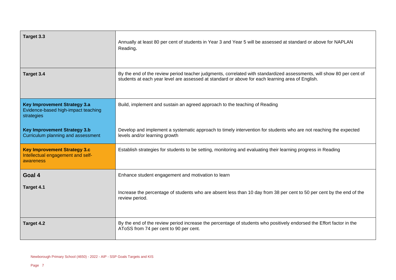| Target 3.3                                                                               | Annually at least 80 per cent of students in Year 3 and Year 5 will be assessed at standard or above for NAPLAN<br>Reading.                                                                                               |  |
|------------------------------------------------------------------------------------------|---------------------------------------------------------------------------------------------------------------------------------------------------------------------------------------------------------------------------|--|
| Target 3.4                                                                               | By the end of the review period teacher judgments, correlated with standardized assessments, will show 80 per cent of<br>students at each year level are assessed at standard or above for each learning area of English. |  |
| <b>Key Improvement Strategy 3.a</b><br>Evidence-based high-impact teaching<br>strategies | Build, implement and sustain an agreed approach to the teaching of Reading                                                                                                                                                |  |
| <b>Key Improvement Strategy 3.b</b><br>Curriculum planning and assessment                | Develop and implement a systematic approach to timely intervention for students who are not reaching the expected<br>levels and/or learning growth                                                                        |  |
| <b>Key Improvement Strategy 3.c</b><br>Intellectual engagement and self-<br>awareness    | Establish strategies for students to be setting, monitoring and evaluating their learning progress in Reading                                                                                                             |  |
| Goal 4                                                                                   | Enhance student engagement and motivation to learn                                                                                                                                                                        |  |
| Target 4.1                                                                               | Increase the percentage of students who are absent less than 10 day from 38 per cent to 50 per cent by the end of the<br>review period.                                                                                   |  |
| Target 4.2                                                                               | By the end of the review period increase the percentage of students who positively endorsed the Effort factor in the<br>AToSS from 74 per cent to 90 per cent.                                                            |  |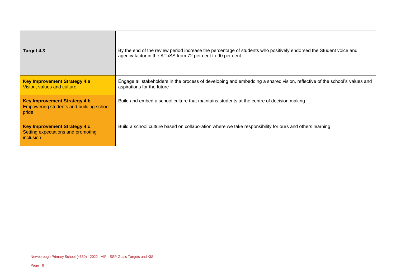| Target 4.3                                                                                | By the end of the review period increase the percentage of students who positively endorsed the Student voice and<br>agency factor in the AToSS from 72 per cent to 90 per cent. |  |
|-------------------------------------------------------------------------------------------|----------------------------------------------------------------------------------------------------------------------------------------------------------------------------------|--|
| <b>Key Improvement Strategy 4.a</b><br>Vision, values and culture                         | Engage all stakeholders in the process of developing and embedding a shared vision, reflective of the school's values and<br>aspirations for the future                          |  |
| <b>Key Improvement Strategy 4.b</b><br>Empowering students and building school<br>  pride | Build and embed a school culture that maintains students at the centre of decision making                                                                                        |  |
| <b>Key Improvement Strategy 4.c</b><br>Setting expectations and promoting<br>l inclusion  | Build a school culture based on collaboration where we take responsibility for ours and others learning                                                                          |  |

 $\overline{a}$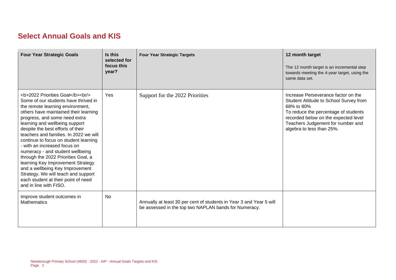### **Select Annual Goals and KIS**

| <b>Four Year Strategic Goals</b>                                                                                                                                                              | Is this<br>selected for<br>focus this<br>year? | <b>Four Year Strategic Targets</b>                                                                                           | 12 month target<br>The 12 month target is an incremental step<br>towards meeting the 4-year target, using the<br>same data set.                                                                                                               |
|-----------------------------------------------------------------------------------------------------------------------------------------------------------------------------------------------|------------------------------------------------|------------------------------------------------------------------------------------------------------------------------------|-----------------------------------------------------------------------------------------------------------------------------------------------------------------------------------------------------------------------------------------------|
| <b>2022 Priorities Goal</b><br><br><br>Some of our students have thrived in<br>the remote learning environment,<br>others have maintained their learning<br>progress, and some need extra<br> | Yes                                            | Support for the 2022 Priorities                                                                                              | Increase Perseverance factor on the<br>Student Attitude to School Survey from<br>68% to 80%<br>To reduce the percentage of students<br>recorded below on the expected level<br>Teachers Judgement for number and<br>algebra to less than 25%. |
| Improve student outcomes in<br><b>Mathematics</b>                                                                                                                                             | <b>No</b>                                      | Annually at least 30 per cent of students in Year 3 and Year 5 will<br>be assessed in the top two NAPLAN bands for Numeracy. |                                                                                                                                                                                                                                               |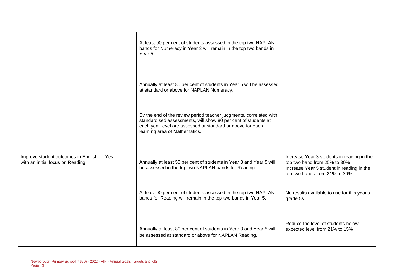|                                                                         |     | At least 90 per cent of students assessed in the top two NAPLAN<br>bands for Numeracy in Year 3 will remain in the top two bands in<br>Year 5.                                                                                      |                                                                                                                                                           |
|-------------------------------------------------------------------------|-----|-------------------------------------------------------------------------------------------------------------------------------------------------------------------------------------------------------------------------------------|-----------------------------------------------------------------------------------------------------------------------------------------------------------|
|                                                                         |     | Annually at least 80 per cent of students in Year 5 will be assessed<br>at standard or above for NAPLAN Numeracy.                                                                                                                   |                                                                                                                                                           |
|                                                                         |     | By the end of the review period teacher judgments, correlated with<br>standardised assessments, will show 80 per cent of students at<br>each year level are assessed at standard or above for each<br>learning area of Mathematics. |                                                                                                                                                           |
| Improve student outcomes in English<br>with an initial focus on Reading | Yes | Annually at least 50 per cent of students in Year 3 and Year 5 will<br>be assessed in the top two NAPLAN bands for Reading.                                                                                                         | Increase Year 3 students in reading in the<br>top two band from 25% to 30%<br>Increase Year 5 student in reading in the<br>top two bands from 21% to 30%. |
|                                                                         |     | At least 90 per cent of students assessed in the top two NAPLAN<br>bands for Reading will remain in the top two bands in Year 5.                                                                                                    | No results available to use for this year's<br>grade 5s                                                                                                   |
|                                                                         |     | Annually at least 80 per cent of students in Year 3 and Year 5 will<br>be assessed at standard or above for NAPLAN Reading.                                                                                                         | Reduce the level of students below<br>expected level from 21% to 15%                                                                                      |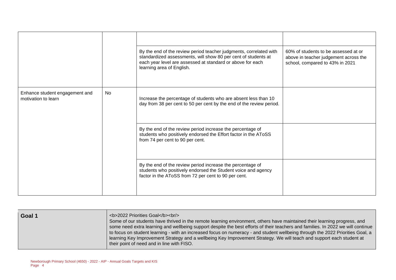|                                                       |    | By the end of the review period teacher judgments, correlated with<br>standardized assessments, will show 80 per cent of students at<br>each year level are assessed at standard or above for each<br>learning area of English. | 60% of students to be assessed at or<br>above in teacher judgement across the<br>school, compared to 43% in 2021 |
|-------------------------------------------------------|----|---------------------------------------------------------------------------------------------------------------------------------------------------------------------------------------------------------------------------------|------------------------------------------------------------------------------------------------------------------|
| Enhance student engagement and<br>motivation to learn | No | Increase the percentage of students who are absent less than 10<br>day from 38 per cent to 50 per cent by the end of the review period.                                                                                         |                                                                                                                  |
|                                                       |    | By the end of the review period increase the percentage of<br>students who positively endorsed the Effort factor in the AToSS<br>from 74 per cent to 90 per cent.                                                               |                                                                                                                  |
|                                                       |    | By the end of the review period increase the percentage of<br>students who positively endorsed the Student voice and agency<br>factor in the AToSS from 72 per cent to 90 per cent.                                             |                                                                                                                  |

| ∣ Goal 1 | <b>2022 Priorities Goal</b><br><br><br>Some of our students have thrived in the remote learning environment, others have maintained their learning progress, and<br>some need extra learning and wellbeing support despite the best efforts of their teachers and families. In 2022 we will continue<br>to focus on student learning - with an increased focus on numeracy - and student wellbeing through the 2022 Priorities Goal, a<br>learning Key Improvement Strategy and a wellbeing Key Improvement Strategy. We will teach and support each student at<br>their point of need and in line with FISO. |
|----------|---------------------------------------------------------------------------------------------------------------------------------------------------------------------------------------------------------------------------------------------------------------------------------------------------------------------------------------------------------------------------------------------------------------------------------------------------------------------------------------------------------------------------------------------------------------------------------------------------------------|
|----------|---------------------------------------------------------------------------------------------------------------------------------------------------------------------------------------------------------------------------------------------------------------------------------------------------------------------------------------------------------------------------------------------------------------------------------------------------------------------------------------------------------------------------------------------------------------------------------------------------------------|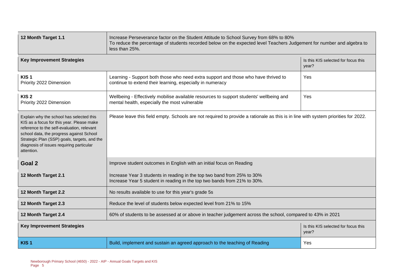| 12 Month Target 1.1                                                                                                                                                                                                                                                                       | Increase Perseverance factor on the Student Attitude to School Survey from 68% to 80%<br>To reduce the percentage of students recorded below on the expected level Teachers Judgement for number and algebra to<br>less than 25%. |                                              |  |  |  |
|-------------------------------------------------------------------------------------------------------------------------------------------------------------------------------------------------------------------------------------------------------------------------------------------|-----------------------------------------------------------------------------------------------------------------------------------------------------------------------------------------------------------------------------------|----------------------------------------------|--|--|--|
| <b>Key Improvement Strategies</b>                                                                                                                                                                                                                                                         |                                                                                                                                                                                                                                   | Is this KIS selected for focus this<br>year? |  |  |  |
| KIS <sub>1</sub><br>Priority 2022 Dimension                                                                                                                                                                                                                                               | Learning - Support both those who need extra support and those who have thrived to<br>continue to extend their learning, especially in numeracy                                                                                   | Yes                                          |  |  |  |
| KIS <sub>2</sub><br>Priority 2022 Dimension                                                                                                                                                                                                                                               | Wellbeing - Effectively mobilise available resources to support students' wellbeing and<br>Yes<br>mental health, especially the most vulnerable                                                                                   |                                              |  |  |  |
| Explain why the school has selected this<br>KIS as a focus for this year. Please make<br>reference to the self-evaluation, relevant<br>school data, the progress against School<br>Strategic Plan (SSP) goals, targets, and the<br>diagnosis of issues requiring particular<br>attention. | Please leave this field empty. Schools are not required to provide a rationale as this is in line with system priorities for 2022.                                                                                                |                                              |  |  |  |
| Goal 2                                                                                                                                                                                                                                                                                    | Improve student outcomes in English with an initial focus on Reading                                                                                                                                                              |                                              |  |  |  |
| 12 Month Target 2.1                                                                                                                                                                                                                                                                       | Increase Year 3 students in reading in the top two band from 25% to 30%<br>Increase Year 5 student in reading in the top two bands from 21% to 30%.                                                                               |                                              |  |  |  |
| 12 Month Target 2.2                                                                                                                                                                                                                                                                       | No results available to use for this year's grade 5s                                                                                                                                                                              |                                              |  |  |  |
| 12 Month Target 2.3                                                                                                                                                                                                                                                                       | Reduce the level of students below expected level from 21% to 15%                                                                                                                                                                 |                                              |  |  |  |
| 12 Month Target 2.4                                                                                                                                                                                                                                                                       | 60% of students to be assessed at or above in teacher judgement across the school, compared to 43% in 2021                                                                                                                        |                                              |  |  |  |
| <b>Key Improvement Strategies</b>                                                                                                                                                                                                                                                         |                                                                                                                                                                                                                                   | Is this KIS selected for focus this<br>year? |  |  |  |
| KIS <sub>1</sub>                                                                                                                                                                                                                                                                          | Build, implement and sustain an agreed approach to the teaching of Reading<br>Yes                                                                                                                                                 |                                              |  |  |  |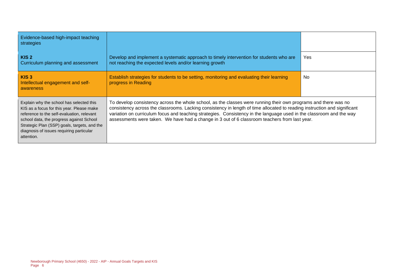| Evidence-based high-impact teaching<br>strategies                                                                                                                                                                                                                                         |                                                                                                                                                                                                                                                                                                                                                                                                                                                                       |            |
|-------------------------------------------------------------------------------------------------------------------------------------------------------------------------------------------------------------------------------------------------------------------------------------------|-----------------------------------------------------------------------------------------------------------------------------------------------------------------------------------------------------------------------------------------------------------------------------------------------------------------------------------------------------------------------------------------------------------------------------------------------------------------------|------------|
| KIS <sub>2</sub><br>Curriculum planning and assessment                                                                                                                                                                                                                                    | Develop and implement a systematic approach to timely intervention for students who are<br>not reaching the expected levels and/or learning growth                                                                                                                                                                                                                                                                                                                    | <b>Yes</b> |
| KIS <sub>3</sub><br>Intellectual engagement and self-<br>awareness                                                                                                                                                                                                                        | Establish strategies for students to be setting, monitoring and evaluating their learning<br>progress in Reading                                                                                                                                                                                                                                                                                                                                                      | <b>No</b>  |
| Explain why the school has selected this<br>KIS as a focus for this year. Please make<br>reference to the self-evaluation, relevant<br>school data, the progress against School<br>Strategic Plan (SSP) goals, targets, and the<br>diagnosis of issues requiring particular<br>attention. | To develop consistency across the whole school, as the classes were running their own programs and there was no<br>consistency across the classrooms. Lacking consistency in length of time allocated to reading instruction and significant<br>variation on curriculum focus and teaching strategies. Consistency in the language used in the classroom and the way<br>assessments were taken. We have had a change in 3 out of 6 classroom teachers from last year. |            |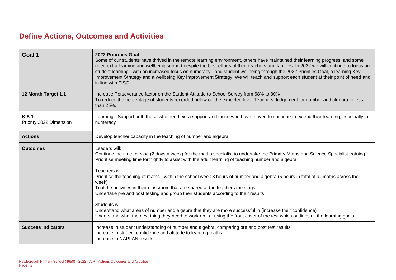### **Define Actions, Outcomes and Activities**

| Goal 1                                      | 2022 Priorities Goal<br>Some of our students have thrived in the remote learning environment, others have maintained their learning progress, and some<br>need extra learning and wellbeing support despite the best efforts of their teachers and families. In 2022 we will continue to focus on<br>student learning - with an increased focus on numeracy - and student wellbeing through the 2022 Priorities Goal, a learning Key<br>Improvement Strategy and a wellbeing Key Improvement Strategy. We will teach and support each student at their point of need and<br>in line with FISO.       |
|---------------------------------------------|------------------------------------------------------------------------------------------------------------------------------------------------------------------------------------------------------------------------------------------------------------------------------------------------------------------------------------------------------------------------------------------------------------------------------------------------------------------------------------------------------------------------------------------------------------------------------------------------------|
| 12 Month Target 1.1                         | Increase Perseverance factor on the Student Attitude to School Survey from 68% to 80%<br>To reduce the percentage of students recorded below on the expected level Teachers Judgement for number and algebra to less<br>than 25%.                                                                                                                                                                                                                                                                                                                                                                    |
| KIS <sub>1</sub><br>Priority 2022 Dimension | Learning - Support both those who need extra support and those who have thrived to continue to extend their learning, especially in<br>numeracy                                                                                                                                                                                                                                                                                                                                                                                                                                                      |
| <b>Actions</b>                              | Develop teacher capacity in the teaching of number and algebra                                                                                                                                                                                                                                                                                                                                                                                                                                                                                                                                       |
| <b>Outcomes</b>                             | Leaders will:<br>Continue the time release (2 days a week) for the maths specialist to undertake the Primary Maths and Science Specialist training<br>Prioritise meeting time fortnightly to assist with the adult learning of teaching number and algebra<br>Teachers will:<br>Prioritise the teaching of maths - within the school week 3 hours of number and algebra (5 hours in total of all maths across the<br>week)<br>Trial the activities in their classroom that are shared at the teachers meetings<br>Undertake pre and post testing and group their students according to their results |
|                                             | Students will:<br>Understand what areas of number and algebra that they are more successful in (increase their confidence)<br>Understand what the next thing they need to work on is - using the front cover of the test which outlines all the learning goals                                                                                                                                                                                                                                                                                                                                       |
| <b>Success Indicators</b>                   | Increase in student understanding of number and algebra, comparing pre and post test results<br>Increase in student confidence and attitude to learning maths<br>Increase in NAPLAN results                                                                                                                                                                                                                                                                                                                                                                                                          |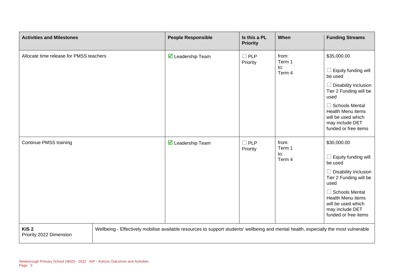| <b>Activities and Milestones</b>            | <b>People Responsible</b>                                                                                                             | Is this a PL<br><b>Priority</b> | When                             | <b>Funding Streams</b>                                                                                                                                                                                                               |
|---------------------------------------------|---------------------------------------------------------------------------------------------------------------------------------------|---------------------------------|----------------------------------|--------------------------------------------------------------------------------------------------------------------------------------------------------------------------------------------------------------------------------------|
| Allocate time release for PMSS teachers     | ☑ Leadership Team                                                                                                                     | $\Box$ PLP<br>Priority          | from:<br>Term 1<br>to:<br>Term 4 | \$35,000.00<br>$\Box$ Equity funding will<br>be used<br>$\Box$ Disability Inclusion<br>Tier 2 Funding will be<br>used<br>$\Box$ Schools Mental<br>Health Menu items<br>will be used which<br>may include DET<br>funded or free items |
| <b>Continue PMSS training</b>               | ☑ Leadership Team                                                                                                                     | $\square$ PLP<br>Priority       | from:<br>Term 1<br>to:<br>Term 4 | \$30,000.00<br>$\Box$ Equity funding will<br>be used<br>$\Box$ Disability Inclusion<br>Tier 2 Funding will be<br>used<br>$\Box$ Schools Mental<br>Health Menu items<br>will be used which<br>may include DET<br>funded or free items |
| KIS <sub>2</sub><br>Priority 2022 Dimension | Wellbeing - Effectively mobilise available resources to support students' wellbeing and mental health, especially the most vulnerable |                                 |                                  |                                                                                                                                                                                                                                      |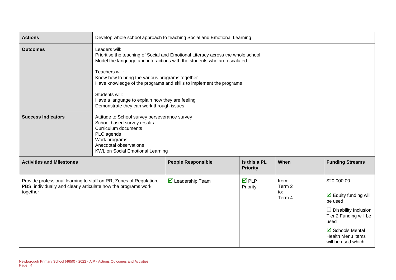| <b>Actions</b>                                                                                                                                   |                                                                                                                                                                                                                                                                                                                                                                                                                                           | Develop whole school approach to teaching Social and Emotional Learning |                                 |                                             |                                                                                                                                                                                                                                   |
|--------------------------------------------------------------------------------------------------------------------------------------------------|-------------------------------------------------------------------------------------------------------------------------------------------------------------------------------------------------------------------------------------------------------------------------------------------------------------------------------------------------------------------------------------------------------------------------------------------|-------------------------------------------------------------------------|---------------------------------|---------------------------------------------|-----------------------------------------------------------------------------------------------------------------------------------------------------------------------------------------------------------------------------------|
| <b>Outcomes</b>                                                                                                                                  | Leaders will:<br>Prioritise the teaching of Social and Emotional Literacy across the whole school<br>Model the language and interactions with the students who are escalated<br>Teachers will:<br>Know how to bring the various programs together<br>Have knowledge of the programs and skills to implement the programs<br>Students will:<br>Have a language to explain how they are feeling<br>Demonstrate they can work through issues |                                                                         |                                 |                                             |                                                                                                                                                                                                                                   |
| <b>Success Indicators</b>                                                                                                                        | Attitude to School survey perseverance survey<br>School based survey results<br>Curriculum documents<br>PLC agends<br>Work programs<br>Anecdotal observations<br><b>KWL on Social Emotional Learning</b>                                                                                                                                                                                                                                  |                                                                         |                                 |                                             |                                                                                                                                                                                                                                   |
| <b>Activities and Milestones</b>                                                                                                                 |                                                                                                                                                                                                                                                                                                                                                                                                                                           | <b>People Responsible</b>                                               | Is this a PL<br><b>Priority</b> | When                                        | <b>Funding Streams</b>                                                                                                                                                                                                            |
| Provide professional learning to staff on RR, Zones of Regulation,<br>PBS, individually and clearly articulate how the programs work<br>together |                                                                                                                                                                                                                                                                                                                                                                                                                                           | $\triangledown$ Leadership Team                                         | <b>☑</b> PLP<br>Priority        | from:<br>Term 2<br>$\mathsf{to}:$<br>Term 4 | \$20,000.00<br>$\overline{\mathbf{y}}$ Equity funding will<br>be used<br>$\Box$ Disability Inclusion<br>Tier 2 Funding will be<br>used<br>$\overline{\boxtimes}$ Schools Mental<br><b>Health Menu items</b><br>will be used which |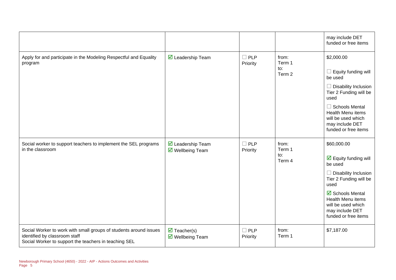|                                                                                                                                                             |                                                        |                        |                                  | may include DET<br>funded or free items                                                                                                                                                                                                   |
|-------------------------------------------------------------------------------------------------------------------------------------------------------------|--------------------------------------------------------|------------------------|----------------------------------|-------------------------------------------------------------------------------------------------------------------------------------------------------------------------------------------------------------------------------------------|
| Apply for and participate in the Modeling Respectful and Equality<br>program                                                                                | $\triangledown$ Leadership Team                        | $\Box$ PLP<br>Priority | from:<br>Term 1<br>to:<br>Term 2 | \$2,000.00<br>Equity funding will<br>be used<br>Disability Inclusion<br>Tier 2 Funding will be<br>used<br>$\Box$ Schools Mental<br>Health Menu items<br>will be used which<br>may include DET<br>funded or free items                     |
| Social worker to support teachers to implement the SEL programs<br>in the classroom                                                                         | ☑ Leadership Team<br>$\triangledown$ Wellbeing Team    | $\Box$ PLP<br>Priority | from:<br>Term 1<br>to:<br>Term 4 | \$60,000.00<br>$\overline{\mathbf{y}}$ Equity funding will<br>be used<br>Disability Inclusion<br>Tier 2 Funding will be<br>used<br>☑ Schools Mental<br>Health Menu items<br>will be used which<br>may include DET<br>funded or free items |
| Social Worker to work with small groups of students around issues<br>identified by classroom staff<br>Social Worker to support the teachers in teaching SEL | $\overline{\mathbf{M}}$ Teacher(s)<br>☑ Wellbeing Team | $\Box$ PLP<br>Priority | from:<br>Term 1                  | \$7,187.00                                                                                                                                                                                                                                |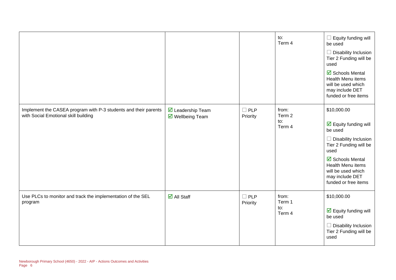|                                                                                                         |                                                             |                        | to:<br>Term 4                    | $\Box$ Equity funding will<br>be used<br>$\Box$ Disability Inclusion<br>Tier 2 Funding will be<br>used<br>$\overline{\mathbf{M}}$ Schools Mental<br>Health Menu items<br>will be used which<br>may include DET<br>funded or free items                                 |
|---------------------------------------------------------------------------------------------------------|-------------------------------------------------------------|------------------------|----------------------------------|------------------------------------------------------------------------------------------------------------------------------------------------------------------------------------------------------------------------------------------------------------------------|
| Implement the CASEA program with P-3 students and their parents<br>with Social Emotional skill building | $\overline{\mathbf{M}}$ Leadership Team<br>☑ Wellbeing Team | $\Box$ PLP<br>Priority | from:<br>Term 2<br>to:<br>Term 4 | \$10,000.00<br>$\overline{\mathbf{y}}$ Equity funding will<br>be used<br>$\Box$ Disability Inclusion<br>Tier 2 Funding will be<br>used<br>$\overline{\mathbf{M}}$ Schools Mental<br>Health Menu items<br>will be used which<br>may include DET<br>funded or free items |
| Use PLCs to monitor and track the implementation of the SEL<br>program                                  | $\overline{\blacksquare}$ All Staff                         | $\Box$ PLP<br>Priority | from:<br>Term 1<br>to:<br>Term 4 | \$10,000.00<br>$\overline{\mathbf{y}}$ Equity funding will<br>be used<br>$\Box$ Disability Inclusion<br>Tier 2 Funding will be<br>used                                                                                                                                 |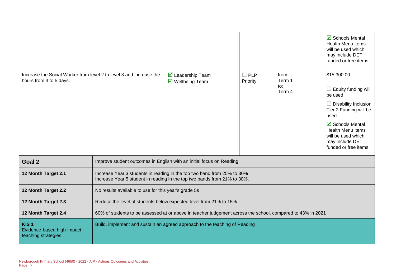|                                                                                                |                                                                                                            |                                                                                                                                                     |                        |                                  | $\overline{\boxtimes}$ Schools Mental<br><b>Health Menu items</b><br>will be used which<br>may include DET<br>funded or free items                                                                                              |
|------------------------------------------------------------------------------------------------|------------------------------------------------------------------------------------------------------------|-----------------------------------------------------------------------------------------------------------------------------------------------------|------------------------|----------------------------------|---------------------------------------------------------------------------------------------------------------------------------------------------------------------------------------------------------------------------------|
| Increase the Social Worker from level 2 to level 3 and increase the<br>hours from 3 to 5 days. |                                                                                                            | ◘ Leadership Team<br>$\overline{\mathbf{M}}$ Wellbeing Team                                                                                         | $\Box$ PLP<br>Priority | from:<br>Term 1<br>to:<br>Term 4 | \$15,300.00<br>Equity funding will<br>be used<br>$\Box$ Disability Inclusion<br>Tier 2 Funding will be<br>used<br>☑ Schools Mental<br><b>Health Menu items</b><br>will be used which<br>may include DET<br>funded or free items |
| Goal 2                                                                                         |                                                                                                            | Improve student outcomes in English with an initial focus on Reading                                                                                |                        |                                  |                                                                                                                                                                                                                                 |
| 12 Month Target 2.1                                                                            |                                                                                                            | Increase Year 3 students in reading in the top two band from 25% to 30%<br>Increase Year 5 student in reading in the top two bands from 21% to 30%. |                        |                                  |                                                                                                                                                                                                                                 |
| 12 Month Target 2.2                                                                            | No results available to use for this year's grade 5s                                                       |                                                                                                                                                     |                        |                                  |                                                                                                                                                                                                                                 |
| 12 Month Target 2.3                                                                            |                                                                                                            | Reduce the level of students below expected level from 21% to 15%                                                                                   |                        |                                  |                                                                                                                                                                                                                                 |
| 12 Month Target 2.4                                                                            | 60% of students to be assessed at or above in teacher judgement across the school, compared to 43% in 2021 |                                                                                                                                                     |                        |                                  |                                                                                                                                                                                                                                 |
| KIS <sub>1</sub><br>Evidence-based high-impact<br>teaching strategies                          |                                                                                                            | Build, implement and sustain an agreed approach to the teaching of Reading                                                                          |                        |                                  |                                                                                                                                                                                                                                 |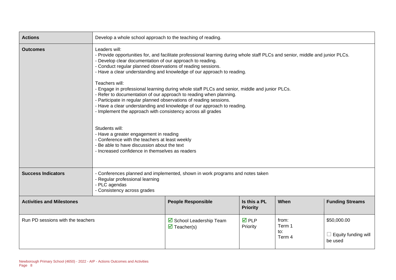| <b>Actions</b>                    | Develop a whole school approach to the teaching of reading.                                                                                                                                                                                                                                                                                                                                                                                                                                                                                                                                                                                                                                                                                                                                                                                                                                                                                                                |                                                                |                                |                                  |                                                      |
|-----------------------------------|----------------------------------------------------------------------------------------------------------------------------------------------------------------------------------------------------------------------------------------------------------------------------------------------------------------------------------------------------------------------------------------------------------------------------------------------------------------------------------------------------------------------------------------------------------------------------------------------------------------------------------------------------------------------------------------------------------------------------------------------------------------------------------------------------------------------------------------------------------------------------------------------------------------------------------------------------------------------------|----------------------------------------------------------------|--------------------------------|----------------------------------|------------------------------------------------------|
| <b>Outcomes</b>                   | Leaders will:<br>- Provide opportunities for, and facilitate professional learning during whole staff PLCs and senior, middle and junior PLCs.<br>Develop clear documentation of our approach to reading.<br>- Conduct regular planned observations of reading sessions.<br>- Have a clear understanding and knowledge of our approach to reading.<br>Teachers will:<br>- Engage in professional learning during whole staff PLCs and senior, middle and junior PLCs.<br>- Refer to documentation of our approach to reading when planning.<br>- Participate in regular planned observations of reading sessions.<br>- Have a clear understanding and knowledge of our approach to reading.<br>- Implement the approach with consistency across all grades<br>Students will:<br>- Have a greater engagement in reading<br>- Conference with the teachers at least weekly<br>- Be able to have discussion about the text<br>- Increased confidence in themselves as readers |                                                                |                                |                                  |                                                      |
| <b>Success Indicators</b>         | - Conferences planned and implemented, shown in work programs and notes taken<br>- Regular professional learning<br>- PLC agendas<br>- Consistency across grades                                                                                                                                                                                                                                                                                                                                                                                                                                                                                                                                                                                                                                                                                                                                                                                                           |                                                                |                                |                                  |                                                      |
| <b>Activities and Milestones</b>  | <b>People Responsible</b><br>Is this a PL<br>When<br><b>Funding Streams</b><br><b>Priority</b>                                                                                                                                                                                                                                                                                                                                                                                                                                                                                                                                                                                                                                                                                                                                                                                                                                                                             |                                                                |                                |                                  |                                                      |
| Run PD sessions with the teachers |                                                                                                                                                                                                                                                                                                                                                                                                                                                                                                                                                                                                                                                                                                                                                                                                                                                                                                                                                                            | ☑ School Leadership Team<br>$\overline{\mathbf{M}}$ Teacher(s) | $\overline{M}$ PLP<br>Priority | from:<br>Term 1<br>to:<br>Term 4 | \$50,000.00<br>$\Box$ Equity funding will<br>be used |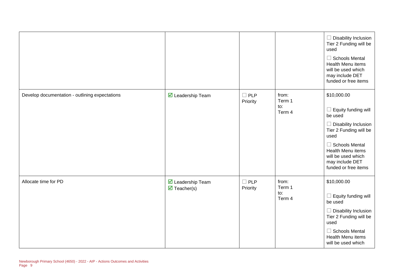|                                                |                                                 |                        |                                  | $\Box$ Disability Inclusion<br>Tier 2 Funding will be<br>used<br>$\Box$ Schools Mental<br>Health Menu items<br>will be used which<br>may include DET<br>funded or free items                                                         |
|------------------------------------------------|-------------------------------------------------|------------------------|----------------------------------|--------------------------------------------------------------------------------------------------------------------------------------------------------------------------------------------------------------------------------------|
| Develop documentation - outlining expectations | $\overline{\mathbf{y}}$ Leadership Team         | $\Box$ PLP<br>Priority | from:<br>Term 1<br>to:<br>Term 4 | \$10,000.00<br>$\Box$ Equity funding will<br>be used<br>$\Box$ Disability Inclusion<br>Tier 2 Funding will be<br>used<br>$\Box$ Schools Mental<br>Health Menu items<br>will be used which<br>may include DET<br>funded or free items |
| Allocate time for PD                           | ☑ Leadership Team<br>$\triangledown$ Teacher(s) | $\Box$ PLP<br>Priority | from:<br>Term 1<br>to:<br>Term 4 | \$10,000.00<br>$\Box$ Equity funding will<br>be used<br>$\Box$ Disability Inclusion<br>Tier 2 Funding will be<br>used<br>$\Box$ Schools Mental<br>Health Menu items<br>will be used which                                            |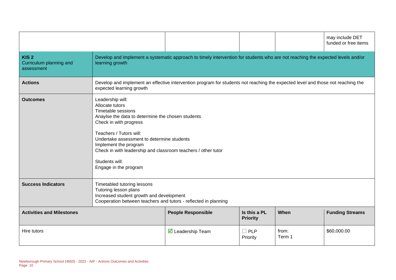|                                                           |                                                                                                                                                                                                                                                                                                                                                        |                                                                                                                                 |  |  | may include DET<br>funded or free items |
|-----------------------------------------------------------|--------------------------------------------------------------------------------------------------------------------------------------------------------------------------------------------------------------------------------------------------------------------------------------------------------------------------------------------------------|---------------------------------------------------------------------------------------------------------------------------------|--|--|-----------------------------------------|
| KIS <sub>2</sub><br>Curriculum planning and<br>assessment | learning growth                                                                                                                                                                                                                                                                                                                                        | Develop and implement a systematic approach to timely intervention for students who are not reaching the expected levels and/or |  |  |                                         |
| <b>Actions</b>                                            | Develop and implement an effective intervention program for students not reaching the expected level and those not reaching the<br>expected learning growth                                                                                                                                                                                            |                                                                                                                                 |  |  |                                         |
| <b>Outcomes</b>                                           | Leadership will:<br>Allocate tutors<br>Timetable sessions<br>Anaylse the data to determine the chosen students<br>Check in with progress<br>Teachers / Tutors will:<br>Undertake assessment to determine students<br>Implement the program<br>Check in with leadership and classroom teachers / other tutor<br>Students will:<br>Engage in the program |                                                                                                                                 |  |  |                                         |
| <b>Success Indicators</b>                                 | Timetabled tutoring lessons<br>Tutoring lesson plans<br>Increased student growth and development<br>Cooperation between teachers and tutors - reflected in planning                                                                                                                                                                                    |                                                                                                                                 |  |  |                                         |
| <b>Activities and Milestones</b>                          | <b>People Responsible</b><br>Is this a PL<br>When<br><b>Funding Streams</b><br><b>Priority</b>                                                                                                                                                                                                                                                         |                                                                                                                                 |  |  |                                         |
| Hire tutors                                               | \$60,000.00<br>from:<br>PLP<br>$\triangleright$ Leadership Team<br>Term 1<br>Priority                                                                                                                                                                                                                                                                  |                                                                                                                                 |  |  |                                         |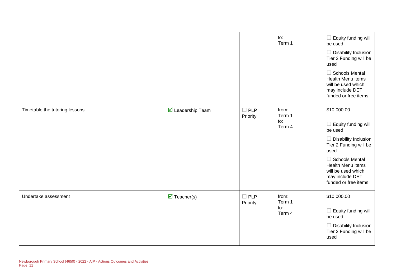|                                |                                    |                        | to:<br>Term 1                    | Equity funding will<br>be used<br><b>Disability Inclusion</b><br>Tier 2 Funding will be<br>used                                                                                                                               |
|--------------------------------|------------------------------------|------------------------|----------------------------------|-------------------------------------------------------------------------------------------------------------------------------------------------------------------------------------------------------------------------------|
|                                |                                    |                        |                                  | <b>Schools Mental</b><br>$\overline{\phantom{a}}$<br>Health Menu items<br>will be used which<br>may include DET<br>funded or free items                                                                                       |
| Timetable the tutoring lessons | ☑ Leadership Team                  | $\Box$ PLP<br>Priority | from:<br>Term 1<br>to:<br>Term 4 | \$10,000.00<br>Equity funding will<br>be used<br><b>Disability Inclusion</b><br>Tier 2 Funding will be<br>used<br>$\Box$ Schools Mental<br>Health Menu items<br>will be used which<br>may include DET<br>funded or free items |
| Undertake assessment           | $\overline{\mathbf{M}}$ Teacher(s) | $\Box$ PLP<br>Priority | from:<br>Term 1<br>to:<br>Term 4 | \$10,000.00<br>Equity funding will<br>ш<br>be used<br><b>Disability Inclusion</b><br>$\overline{\phantom{a}}$<br>Tier 2 Funding will be<br>used                                                                               |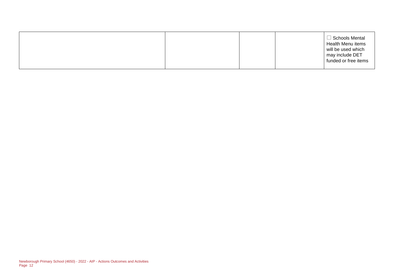|  | Schools Mental<br>Health Menu items<br>will be used which<br>may include DET<br>funded or free items |
|--|------------------------------------------------------------------------------------------------------|
|--|------------------------------------------------------------------------------------------------------|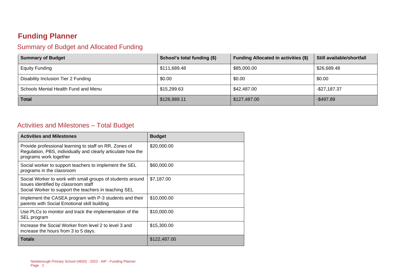### **Funding Planner**

#### Summary of Budget and Allocated Funding

| <b>Summary of Budget</b>            | School's total funding (\$) | <b>Funding Allocated in activities (\$)</b> | Still available/shortfall |
|-------------------------------------|-----------------------------|---------------------------------------------|---------------------------|
| <b>Equity Funding</b>               | \$111,689.48                | \$85,000.00                                 | \$26,689.48               |
| Disability Inclusion Tier 2 Funding | \$0.00                      | \$0.00                                      | \$0.00                    |
| Schools Mental Health Fund and Menu | \$15,299.63                 | \$42,487.00                                 | $-$ \$27,187.37           |
| <b>Total</b>                        | \$126,989.11                | \$127,487.00                                | $-$ \$497.89              |

#### Activities and Milestones – Total Budget

| <b>Activities and Milestones</b>                                                                                                                            | <b>Budget</b> |
|-------------------------------------------------------------------------------------------------------------------------------------------------------------|---------------|
| Provide professional learning to staff on RR, Zones of<br>Regulation, PBS, individually and clearly articulate how the<br>programs work together            | \$20,000.00   |
| Social worker to support teachers to implement the SEL<br>programs in the classroom                                                                         | \$60,000.00   |
| Social Worker to work with small groups of students around<br>issues identified by classroom staff<br>Social Worker to support the teachers in teaching SEL | \$7,187.00    |
| Implement the CASEA program with P-3 students and their<br>parents with Social Emotional skill building                                                     | \$10,000.00   |
| Use PLCs to monitor and track the implementation of the<br>SEL program                                                                                      | \$10,000.00   |
| Increase the Social Worker from level 2 to level 3 and<br>increase the hours from 3 to 5 days.                                                              | \$15,300.00   |
| <b>Totals</b>                                                                                                                                               | \$122,487.00  |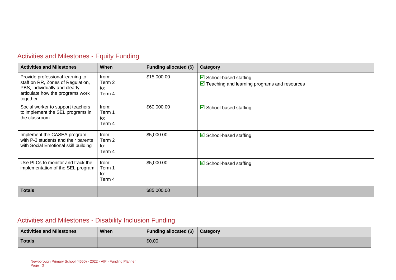| <b>Activities and Milestones</b>                                                                                                                       | When                             | <b>Funding allocated (\$)</b> | Category                                                                                               |
|--------------------------------------------------------------------------------------------------------------------------------------------------------|----------------------------------|-------------------------------|--------------------------------------------------------------------------------------------------------|
| Provide professional learning to<br>staff on RR, Zones of Regulation,<br>PBS, individually and clearly<br>articulate how the programs work<br>together | from:<br>Term 2<br>to:<br>Term 4 | \$15,000.00                   | $\triangleright$ School-based staffing<br>$\triangledown$ Teaching and learning programs and resources |
| Social worker to support teachers<br>to implement the SEL programs in<br>the classroom                                                                 | from:<br>Term 1<br>to:<br>Term 4 | \$60,000.00                   | $\boxtimes$ School-based staffing                                                                      |
| Implement the CASEA program<br>with P-3 students and their parents<br>with Social Emotional skill building                                             | from:<br>Term 2<br>to:<br>Term 4 | \$5,000.00                    | $\boxtimes$ School-based staffing                                                                      |
| Use PLCs to monitor and track the<br>implementation of the SEL program                                                                                 | from:<br>Term 1<br>to:<br>Term 4 | \$5,000.00                    | $\triangleright$ School-based staffing                                                                 |
| <b>Totals</b>                                                                                                                                          |                                  | \$85,000.00                   |                                                                                                        |

### Activities and Milestones - Equity Funding

### Activities and Milestones - Disability Inclusion Funding

| <b>Activities and Milestones</b> | When | Funding allocated (\$)   Category |  |
|----------------------------------|------|-----------------------------------|--|
| <b>Totals</b>                    |      | \$0.00                            |  |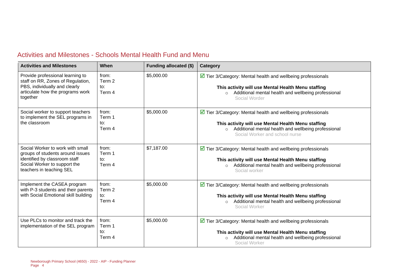| Activities and Milestones - Schools Mental Health Fund and Menu |  |  |
|-----------------------------------------------------------------|--|--|
|-----------------------------------------------------------------|--|--|

| <b>Activities and Milestones</b>                                                                                                                                  | <b>When</b>                      | Funding allocated (\$) | Category                                                                                                                                                                                                                              |
|-------------------------------------------------------------------------------------------------------------------------------------------------------------------|----------------------------------|------------------------|---------------------------------------------------------------------------------------------------------------------------------------------------------------------------------------------------------------------------------------|
| Provide professional learning to<br>staff on RR, Zones of Regulation,<br>PBS, individually and clearly<br>articulate how the programs work<br>together            | from:<br>Term 2<br>to:<br>Term 4 | \$5,000.00             | $\triangledown$ Tier 3/Category: Mental health and wellbeing professionals<br>This activity will use Mental Health Menu staffing<br>Additional mental health and wellbeing professional<br>$\circ$<br>Social Worder                   |
| Social worker to support teachers<br>to implement the SEL programs in<br>the classroom                                                                            | from:<br>Term 1<br>to:<br>Term 4 | \$5,000.00             | $\triangleright$ Tier 3/Category: Mental health and wellbeing professionals<br>This activity will use Mental Health Menu staffing<br>Additional mental health and wellbeing professional<br>$\circ$<br>Social Worker and school nurse |
| Social Worker to work with small<br>groups of students around issues<br>identified by classroom staff<br>Social Worker to support the<br>teachers in teaching SEL | from:<br>Term 1<br>to:<br>Term 4 | \$7,187.00             | $\triangleright$ Tier 3/Category: Mental health and wellbeing professionals<br>This activity will use Mental Health Menu staffing<br>Additional mental health and wellbeing professional<br>$\circ$<br>Social worker                  |
| Implement the CASEA program<br>with P-3 students and their parents<br>with Social Emotional skill building                                                        | from:<br>Term 2<br>to:<br>Term 4 | \$5,000.00             | $\triangleright$ Tier 3/Category: Mental health and wellbeing professionals<br>This activity will use Mental Health Menu staffing<br>Additional mental health and wellbeing professional<br>$\circ$<br>Social Worker                  |
| Use PLCs to monitor and track the<br>implementation of the SEL program                                                                                            | from:<br>Term 1<br>to:<br>Term 4 | \$5,000.00             | $\triangledown$ Tier 3/Category: Mental health and wellbeing professionals<br>This activity will use Mental Health Menu staffing<br>Additional mental health and wellbeing professional<br>$\circ$<br>Social Worker                   |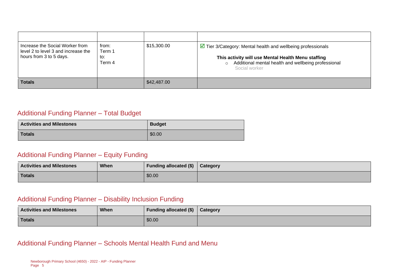| Increase the Social Worker from                                | from:                   | \$15,300.00 | $\triangleright$ Tier 3/Category: Mental health and wellbeing professionals                                                           |
|----------------------------------------------------------------|-------------------------|-------------|---------------------------------------------------------------------------------------------------------------------------------------|
| level 2 to level 3 and increase the<br>hours from 3 to 5 days. | Term 1<br>to:<br>Term 4 |             | This activity will use Mental Health Menu staffing<br>Additional mental health and wellbeing professional<br>$\circ$<br>Social worker |
| <b>Totals</b>                                                  |                         | \$42,487.00 |                                                                                                                                       |

#### Additional Funding Planner – Total Budget

| <b>Activities and Milestones</b> | <b>Budget</b> |
|----------------------------------|---------------|
| <b>Totals</b>                    | \$0.00        |

#### Additional Funding Planner – Equity Funding

| <b>Activities and Milestones</b> | <b>When</b> | Funding allocated $(\$)$ $\ $ Category |  |
|----------------------------------|-------------|----------------------------------------|--|
| Totals                           |             | \$0.00                                 |  |

#### Additional Funding Planner – Disability Inclusion Funding

| <b>Activities and Milestones</b> | When | Funding allocated $(\$)$   Category |  |
|----------------------------------|------|-------------------------------------|--|
| Totals                           |      | \$0.00                              |  |

#### Additional Funding Planner – Schools Mental Health Fund and Menu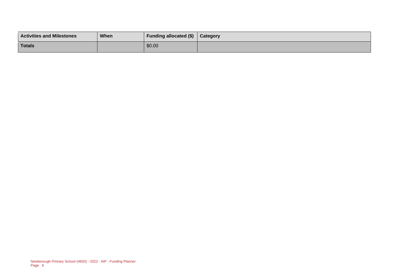| <b>Activities and Milestones</b> | When | <b>Funding allocated (\$)</b> | Category |
|----------------------------------|------|-------------------------------|----------|
| <b>Totals</b>                    |      | \$0.00                        |          |